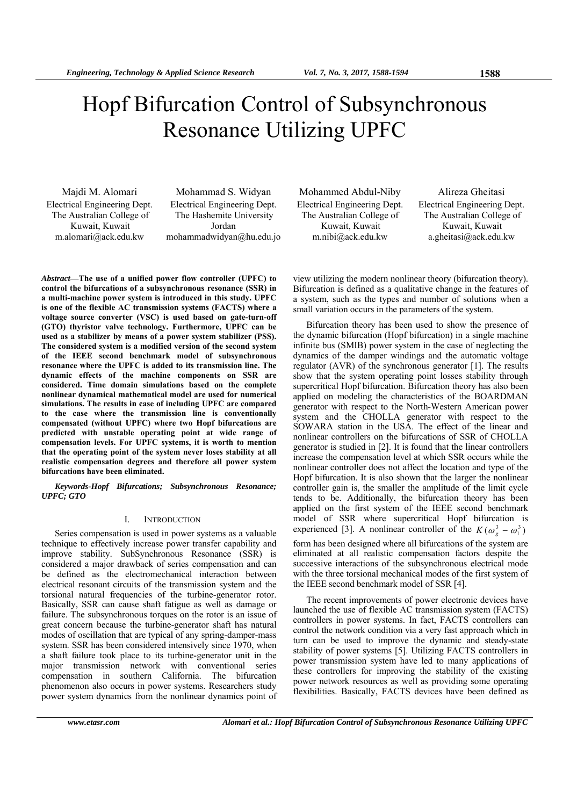# Hopf Bifurcation Control of Subsynchronous Resonance Utilizing UPFC

Electrical Engineering Dept. The Australian College of Kuwait, Kuwait m.alomari@ack.edu.kw

Electrical Engineering Dept. The Hashemite University Jordan mohammadwidyan@hu.edu.jo

Majdi M. Alomari Mohammad S. Widyan Mohammed Abdul-Niby Alireza Gheitasi Electrical Engineering Dept. The Australian College of Kuwait, Kuwait m.nibi@ack.edu.kw

Electrical Engineering Dept. The Australian College of Kuwait, Kuwait a.gheitasi@ack.edu.kw

*Abstract***—The use of a unified power flow controller (UPFC) to control the bifurcations of a subsynchronous resonance (SSR) in a multi-machine power system is introduced in this study. UPFC is one of the flexible AC transmission systems (FACTS) where a voltage source converter (VSC) is used based on gate-turn-off (GTO) thyristor valve technology. Furthermore, UPFC can be used as a stabilizer by means of a power system stabilizer (PSS). The considered system is a modified version of the second system of the IEEE second benchmark model of subsynchronous resonance where the UPFC is added to its transmission line. The dynamic effects of the machine components on SSR are considered. Time domain simulations based on the complete nonlinear dynamical mathematical model are used for numerical simulations. The results in case of including UPFC are compared to the case where the transmission line is conventionally compensated (without UPFC) where two Hopf bifurcations are predicted with unstable operating point at wide range of compensation levels. For UPFC systems, it is worth to mention that the operating point of the system never loses stability at all realistic compensation degrees and therefore all power system bifurcations have been eliminated.** 

*Keywords-Hopf Bifurcations; Subsynchronous Resonance; UPFC; GTO* 

# I. INTRODUCTION

Series compensation is used in power systems as a valuable technique to effectively increase power transfer capability and improve stability. SubSynchronous Resonance (SSR) is considered a major drawback of series compensation and can be defined as the electromechanical interaction between electrical resonant circuits of the transmission system and the torsional natural frequencies of the turbine-generator rotor. Basically, SSR can cause shaft fatigue as well as damage or failure. The subsynchronous torques on the rotor is an issue of great concern because the turbine-generator shaft has natural modes of oscillation that are typical of any spring-damper-mass system. SSR has been considered intensively since 1970, when a shaft failure took place to its turbine-generator unit in the major transmission network with conventional series compensation in southern California. The bifurcation phenomenon also occurs in power systems. Researchers study power system dynamics from the nonlinear dynamics point of

view utilizing the modern nonlinear theory (bifurcation theory). Bifurcation is defined as a qualitative change in the features of a system, such as the types and number of solutions when a small variation occurs in the parameters of the system.

Bifurcation theory has been used to show the presence of the dynamic bifurcation (Hopf bifurcation) in a single machine infinite bus (SMIB) power system in the case of neglecting the dynamics of the damper windings and the automatic voltage regulator (AVR) of the synchronous generator [1]. The results show that the system operating point losses stability through supercritical Hopf bifurcation. Bifurcation theory has also been applied on modeling the characteristics of the BOARDMAN generator with respect to the North-Western American power system and the CHOLLA generator with respect to the SOWARA station in the USA. The effect of the linear and nonlinear controllers on the bifurcations of SSR of CHOLLA generator is studied in [2]. It is found that the linear controllers increase the compensation level at which SSR occurs while the nonlinear controller does not affect the location and type of the Hopf bifurcation. It is also shown that the larger the nonlinear controller gain is, the smaller the amplitude of the limit cycle tends to be. Additionally, the bifurcation theory has been applied on the first system of the IEEE second benchmark model of SSR where supercritical Hopf bifurcation is experienced [3]. A nonlinear controller of the  $K(\omega_g^3 - \omega_1^3)$ form has been designed where all bifurcations of the system are eliminated at all realistic compensation factors despite the successive interactions of the subsynchronous electrical mode with the three torsional mechanical modes of the first system of the IEEE second benchmark model of SSR [4].

The recent improvements of power electronic devices have launched the use of flexible AC transmission system (FACTS) controllers in power systems. In fact, FACTS controllers can control the network condition via a very fast approach which in turn can be used to improve the dynamic and steady-state stability of power systems [5]. Utilizing FACTS controllers in power transmission system have led to many applications of these controllers for improving the stability of the existing power network resources as well as providing some operating flexibilities. Basically, FACTS devices have been defined as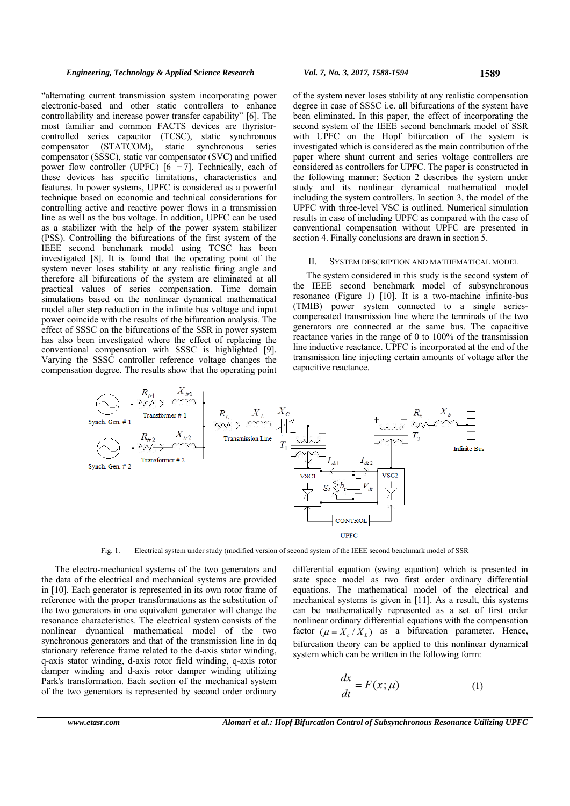"alternating current transmission system incorporating power electronic-based and other static controllers to enhance controllability and increase power transfer capability" [6]. The most familiar and common FACTS devices are thyristorcontrolled series capacitor (TCSC), static synchronous compensator (STATCOM), static synchronous series compensator (SSSC), static var compensator (SVC) and unified power flow controller (UPFC)  $[6 - 7]$ . Technically, each of these devices has specific limitations, characteristics and features. In power systems, UPFC is considered as a powerful technique based on economic and technical considerations for controlling active and reactive power flows in a transmission line as well as the bus voltage. In addition, UPFC can be used as a stabilizer with the help of the power system stabilizer (PSS). Controlling the bifurcations of the first system of the IEEE second benchmark model using TCSC has been investigated [8]. It is found that the operating point of the system never loses stability at any realistic firing angle and therefore all bifurcations of the system are eliminated at all practical values of series compensation. Time domain simulations based on the nonlinear dynamical mathematical model after step reduction in the infinite bus voltage and input power coincide with the results of the bifurcation analysis. The effect of SSSC on the bifurcations of the SSR in power system has also been investigated where the effect of replacing the conventional compensation with SSSC is highlighted [9]. Varying the SSSC controller reference voltage changes the compensation degree. The results show that the operating point

of the system never loses stability at any realistic compensation degree in case of SSSC i.e. all bifurcations of the system have been eliminated. In this paper, the effect of incorporating the second system of the IEEE second benchmark model of SSR with UPFC on the Hopf bifurcation of the system is investigated which is considered as the main contribution of the paper where shunt current and series voltage controllers are considered as controllers for UPFC. The paper is constructed in the following manner: Section 2 describes the system under study and its nonlinear dynamical mathematical model including the system controllers. In section 3, the model of the UPFC with three-level VSC is outlined. Numerical simulation results in case of including UPFC as compared with the case of conventional compensation without UPFC are presented in section 4. Finally conclusions are drawn in section 5.

#### II. SYSTEM DESCRIPTION AND MATHEMATICAL MODEL

The system considered in this study is the second system of the IEEE second benchmark model of subsynchronous resonance (Figure 1) [10]. It is a two-machine infinite-bus (TMIB) power system connected to a single seriescompensated transmission line where the terminals of the two generators are connected at the same bus. The capacitive reactance varies in the range of 0 to 100% of the transmission line inductive reactance. UPFC is incorporated at the end of the transmission line injecting certain amounts of voltage after the capacitive reactance.



Fig. 1. Electrical system under study (modified version of second system of the IEEE second benchmark model of SSR

The electro-mechanical systems of the two generators and the data of the electrical and mechanical systems are provided in [10]. Each generator is represented in its own rotor frame of reference with the proper transformations as the substitution of the two generators in one equivalent generator will change the resonance characteristics. The electrical system consists of the nonlinear dynamical mathematical model of the two synchronous generators and that of the transmission line in dq stationary reference frame related to the d-axis stator winding, q-axis stator winding, d-axis rotor field winding, q-axis rotor damper winding and d-axis rotor damper winding utilizing Park's transformation. Each section of the mechanical system of the two generators is represented by second order ordinary differential equation (swing equation) which is presented in state space model as two first order ordinary differential equations. The mathematical model of the electrical and mechanical systems is given in [11]. As a result, this systems can be mathematically represented as a set of first order nonlinear ordinary differential equations with the compensation factor  $(\mu = X_c / X_L)$  as a bifurcation parameter. Hence, bifurcation theory can be applied to this nonlinear dynamical system which can be written in the following form:

$$
\frac{dx}{dt} = F(x; \mu) \tag{1}
$$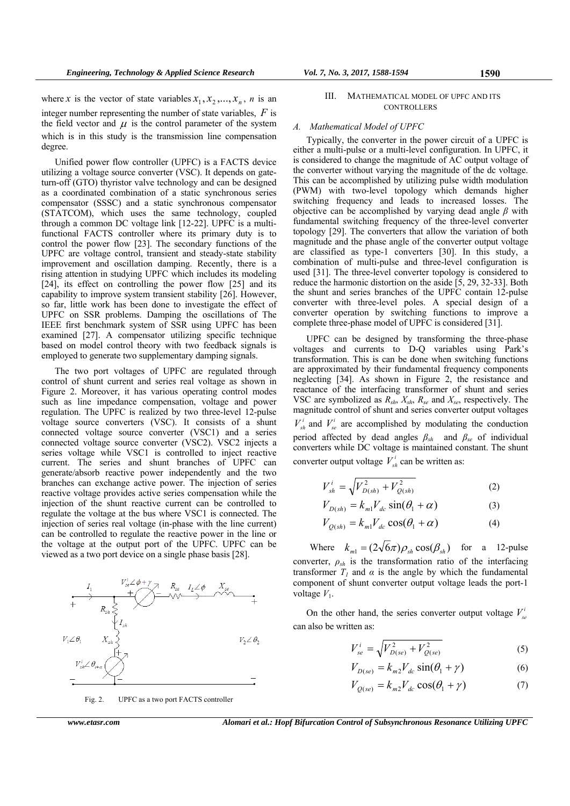where *x* is the vector of state variables  $x_1, x_2, ..., x_n$ , *n* is an integer number representing the number of state variables, *F* is the field vector and  $\mu$  is the control parameter of the system which is in this study is the transmission line compensation degree.

Unified power flow controller (UPFC) is a FACTS device utilizing a voltage source converter (VSC). It depends on gateturn-off (GTO) thyristor valve technology and can be designed as a coordinated combination of a static synchronous series compensator (SSSC) and a static synchronous compensator (STATCOM), which uses the same technology, coupled through a common DC voltage link [12-22]. UPFC is a multifunctional FACTS controller where its primary duty is to control the power flow [23]. The secondary functions of the UPFC are voltage control, transient and steady-state stability improvement and oscillation damping. Recently, there is a rising attention in studying UPFC which includes its modeling [24], its effect on controlling the power flow [25] and its capability to improve system transient stability [26]. However, so far, little work has been done to investigate the effect of UPFC on SSR problems. Damping the oscillations of The IEEE first benchmark system of SSR using UPFC has been examined [27]. A compensator utilizing specific technique based on model control theory with two feedback signals is employed to generate two supplementary damping signals.

The two port voltages of UPFC are regulated through control of shunt current and series real voltage as shown in Figure 2. Moreover, it has various operating control modes such as line impedance compensation, voltage and power regulation. The UPFC is realized by two three-level 12-pulse voltage source converters (VSC). It consists of a shunt connected voltage source converter (VSC1) and a series connected voltage source converter (VSC2). VSC2 injects a series voltage while VSC1 is controlled to inject reactive current. The series and shunt branches of UPFC can generate/absorb reactive power independently and the two branches can exchange active power. The injection of series reactive voltage provides active series compensation while the injection of the shunt reactive current can be controlled to regulate the voltage at the bus where VSC1 is connected. The injection of series real voltage (in-phase with the line current) can be controlled to regulate the reactive power in the line or the voltage at the output port of the UPFC. UPFC can be viewed as a two port device on a single phase basis [28].





*www.etasr.com Alomari et al.: Hopf Bifurcation Control of Subsynchronous Resonance Utilizing UPFC* 

## III. MATHEMATICAL MODEL OF UPFC AND ITS **CONTROLLERS**

## *A. Mathematical Model of UPFC*

Typically, the converter in the power circuit of a UPFC is either a multi-pulse or a multi-level configuration. In UPFC, it is considered to change the magnitude of AC output voltage of the converter without varying the magnitude of the dc voltage. This can be accomplished by utilizing pulse width modulation (PWM) with two-level topology which demands higher switching frequency and leads to increased losses. The objective can be accomplished by varying dead angle *β* with fundamental switching frequency of the three-level converter topology [29]. The converters that allow the variation of both magnitude and the phase angle of the converter output voltage are classified as type-1 converters [30]. In this study, a combination of multi-pulse and three-level configuration is used [31]. The three-level converter topology is considered to reduce the harmonic distortion on the aside [5, 29, 32-33]. Both the shunt and series branches of the UPFC contain 12-pulse converter with three-level poles. A special design of a converter operation by switching functions to improve a complete three-phase model of UPFC is considered [31].

UPFC can be designed by transforming the three-phase voltages and currents to D-Q variables using Park's transformation. This is can be done when switching functions are approximated by their fundamental frequency components neglecting [34]. As shown in Figure 2, the resistance and reactance of the interfacing transformer of shunt and series VSC are symbolized as *Rsh*, *Xsh*, *Rse* and *Xse*, respectively. The magnitude control of shunt and series converter output voltages  $V_{sh}^{i}$  and  $V_{se}^{i}$  are accomplished by modulating the conduction period affected by dead angles *βsh* and *βse* of individual converters while DC voltage is maintained constant. The shunt

$$
V_{sh}^{i} = \sqrt{V_{D(sh)}^{2} + V_{Q(sh)}^{2}}
$$
 (2)

converter output voltage  $V_{sh}^i$  can be written as:

$$
V_{D(sh)} = k_{m1} V_{dc} \sin(\theta_1 + \alpha) \tag{3}
$$

$$
V_{Q(sh)} = k_{m1} V_{dc} \cos(\theta_1 + \alpha)
$$
 (4)

Where  $k_{m1} = (2\sqrt{6}\pi)\rho_{sh} \cos(\beta_{sh})$  for a 12-pulse converter,  $\rho_{sh}$  is the transformation ratio of the interfacing transformer  $T_1$  and  $\alpha$  is the angle by which the fundamental component of shunt converter output voltage leads the port-1 voltage  $V_1$ .

On the other hand, the series converter output voltage  $V_s^t$ can also be written as:

$$
V_{se}^{i} = \sqrt{V_{D(se)}^{2} + V_{Q(se)}^{2}}
$$
 (5)

$$
V_{D(se)} = k_{m2} V_{dc} \sin(\theta_1 + \gamma)
$$
 (6)

$$
V_{Q(se)} = k_{m2} V_{dc} \cos(\theta_1 + \gamma)
$$
 (7)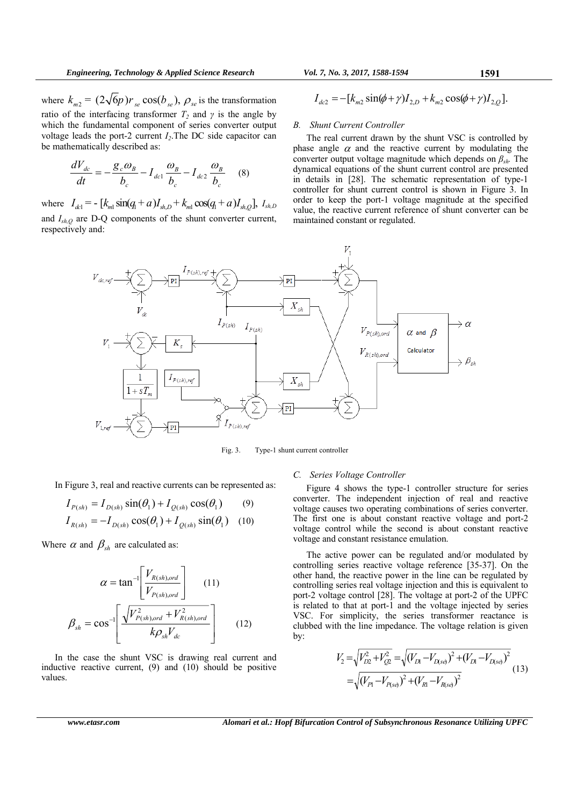where  $k_{m2} = (2\sqrt{6}p)r_{se} \cos(b_{se}), \rho_{se}$  is the transformation ratio of the interfacing transformer  $T_2$  and  $\gamma$  is the angle by which the fundamental component of series converter output voltage leads the port-2 current *Ι2*.The DC side capacitor can be mathematically described as:

$$
\frac{dV_{dc}}{dt} = -\frac{g_c \omega_B}{b_c} - I_{dc1} \frac{\omega_B}{b_c} - I_{dc2} \frac{\omega_B}{b_c}
$$
 (8)

where  $I_{dc} = -\left[k_{m1} \sin(q_{1} + a)I_{shD} + k_{m1} \cos(q_{1} + a)I_{shD}\right], I_{shD}$ and *Ish,Q* are D-Q components of the shunt converter current, respectively and:

$$
I_{dc2} = -[k_{m2} \sin(\phi + \gamma) I_{2,D} + k_{m2} \cos(\phi + \gamma) I_{2,Q}].
$$

# *B. Shunt Current Controller*

The real current drawn by the shunt VSC is controlled by phase angle  $\alpha$  and the reactive current by modulating the converter output voltage magnitude which depends on *βsh.* The dynamical equations of the shunt current control are presented in details in [28]. The schematic representation of type-1 controller for shunt current control is shown in Figure 3. In order to keep the port-1 voltage magnitude at the specified value, the reactive current reference of shunt converter can be maintained constant or regulated.



Fig. 3. Type-1 shunt current controller

In Figure 3, real and reactive currents can be represented as:

$$
I_{P(sh)} = I_{D(sh)} \sin(\theta_1) + I_{Q(sh)} \cos(\theta_1)
$$
 (9)

$$
I_{R(sh)} = -I_{D(sh)} \cos(\theta_1) + I_{Q(sh)} \sin(\theta_1) \quad (10)
$$

Where  $\alpha$  and  $\beta_{sh}$  are calculated as:

$$
\alpha = \tan^{-1} \left[ \frac{V_{R(sh),ord}}{V_{P(sh),ord}} \right] \qquad (11)
$$

$$
\beta_{sh} = \cos^{-1} \left[ \frac{\sqrt{V_{P(sh),ord}^2 + V_{R(sh),ord}^2}}{k \rho_{sh} V_{dc}} \right] \qquad (12)
$$

In the case the shunt VSC is drawing real current and inductive reactive current, (9) and (10) should be positive values.

# *C. Series Voltage Controller*

Figure 4 shows the type-1 controller structure for series converter. The independent injection of real and reactive voltage causes two operating combinations of series converter. The first one is about constant reactive voltage and port-2 voltage control while the second is about constant reactive voltage and constant resistance emulation.

The active power can be regulated and/or modulated by controlling series reactive voltage reference [35-37]. On the other hand, the reactive power in the line can be regulated by controlling series real voltage injection and this is equivalent to port-2 voltage control [28]. The voltage at port-2 of the UPFC is related to that at port-1 and the voltage injected by series VSC. For simplicity, the series transformer reactance is clubbed with the line impedance. The voltage relation is given by:

$$
V_2 = \sqrt{V_{D2}^2 + V_{Q2}^2} = \sqrt{(V_{D1} - V_{D(se)})^2 + (V_{D1} - V_{D(se)})^2}
$$
  
=  $\sqrt{(V_{P1} - V_{P(se)})^2 + (V_{R1} - V_{R(se)})^2}$  (13)

*www.etasr.com Alomari et al.: Hopf Bifurcation Control of Subsynchronous Resonance Utilizing UPFC*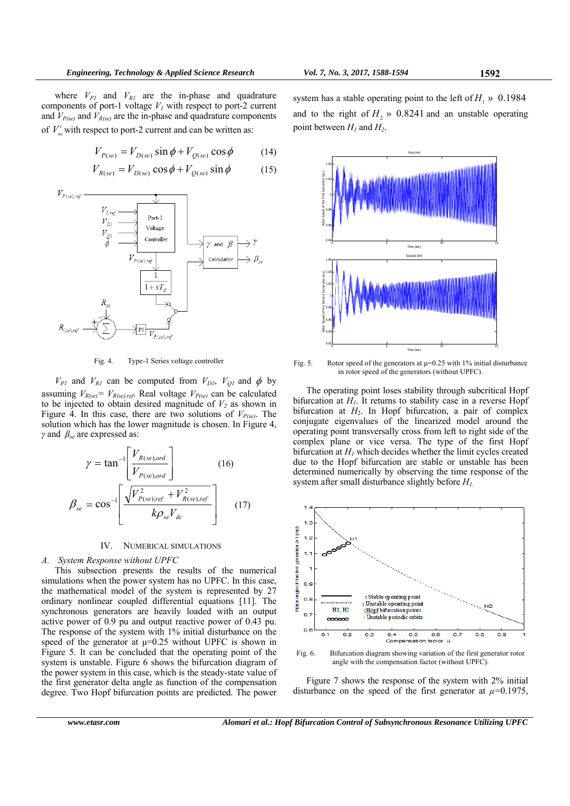where  $V_{PI}$  and  $V_{RI}$  are the in-phase and quadrature components of port-1 voltage  $V_I$  with respect to port-2 current and  $V_{P(se)}$  and  $V_{R(se)}$  are the in-phase and quadrature components of  $V_s^i$  with respect to port-2 current and can be written as:

$$
V_{P(se)} = V_{D(se)} \sin \phi + V_{Q(se)} \cos \phi \tag{14}
$$

$$
V_{R(se)} = V_{D(se)} \cos \phi + V_{Q(se)} \sin \phi \tag{15}
$$



Fig. 4. Type-1 Series voltage controller

 $V_{PI}$  and  $V_{RI}$  can be computed from  $V_{DI}$ ,  $V_{QI}$  and  $\phi$  by assuming  $V_{R(se)} = V_{R(se),ref}$ . Real voltage  $V_{P(se)}$  can be calculated to be injected to obtain desired magnitude of  $V_2$  as shown in Figure 4. In this case, there are two solutions of  $V_{P(se)}$ . The solution which has the lower magnitude is chosen. In Figure 4, *γ* and *βse* are expressed as:

$$
\gamma = \tan^{-1} \left[ \frac{V_{R(se),ord}}{V_{P(se),ord}} \right]
$$
(16)  

$$
\beta_{se} = \cos^{-1} \left[ \frac{\sqrt{V_{P(se),ref}^{2} + V_{R(se),ref}^{2}}}{k \rho_{se} V_{dc}} \right]
$$
(17)

## IV. NUMERICAL SIMULATIONS

### *A. System Response without UPFC*

 $\overline{1}$ 

This subsection presents the results of the numerical simulations when the power system has no UPFC. In this case, the mathematical model of the system is represented by 27 ordinary nonlinear coupled differential equations [11]. The synchronous generators are heavily loaded with an output active power of 0.9 pu and output reactive power of 0.43 pu. The response of the system with 1% initial disturbance on the speed of the generator at  $\mu$ =0.25 without UPFC is shown in Figure 5. It can be concluded that the operating point of the system is unstable. Figure 6 shows the bifurcation diagram of the power system in this case, which is the steady-state value of the first generator delta angle as function of the compensation degree. Two Hopf bifurcation points are predicted. The power system has a stable operating point to the left of  $H_1 \gg 0.1984$ and to the right of  $H_2 \gg 0.8241$  and an unstable operating point between  $H_1$  and  $H_2$ .



Fig. 5. Rotor speed of the generators at  $\mu$ =0.25 with 1% initial disturbance in rotor speed of the generators (without UPFC).

The operating point loses stability through subcritical Hopf bifurcation at  $H<sub>1</sub>$ . It returns to stability case in a reverse Hopf bifurcation at *H*<sub>2</sub>. In Hopf bifurcation, a pair of complex conjugate eigenvalues of the linearized model around the operating point transversally cross from left to right side of the complex plane or vice versa. The type of the first Hopf bifurcation at  $H<sub>l</sub>$  which decides whether the limit cycles created due to the Hopf bifurcation are stable or unstable has been determined numerically by observing the time response of the system after small disturbance slightly before *H1.*





Figure 7 shows the response of the system with 2% initial disturbance on the speed of the first generator at  $\mu$ =0.1975,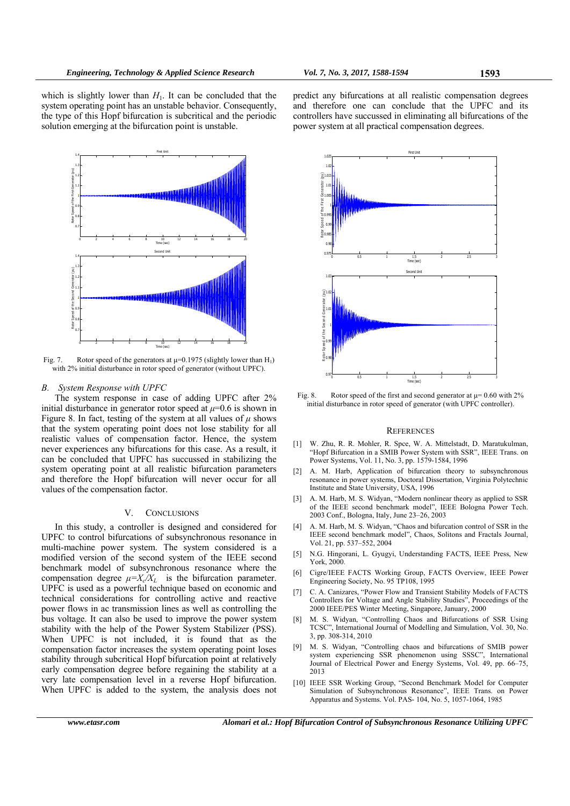which is slightly lower than  $H<sub>1</sub>$ . It can be concluded that the system operating point has an unstable behavior. Consequently, the type of this Hopf bifurcation is subcritical and the periodic solution emerging at the bifurcation point is unstable.



Fig. 7. Rotor speed of the generators at  $\mu$ =0.1975 (slightly lower than H<sub>1</sub>) with 2% initial disturbance in rotor speed of generator (without UPFC).

#### *B. System Response with UPFC*

The system response in case of adding UPFC after 2% initial disturbance in generator rotor speed at  $\mu$ =0.6 is shown in Figure 8. In fact, testing of the system at all values of  $\mu$  shows that the system operating point does not lose stability for all realistic values of compensation factor. Hence, the system never experiences any bifurcations for this case. As a result, it can be concluded that UPFC has succussed in stabilizing the system operating point at all realistic bifurcation parameters and therefore the Hopf bifurcation will never occur for all values of the compensation factor.

## V. CONCLUSIONS

In this study, a controller is designed and considered for UPFC to control bifurcations of subsynchronous resonance in multi-machine power system. The system considered is a modified version of the second system of the IEEE second benchmark model of subsynchronous resonance where the compensation degree  $\mu = X_c/X_L$  is the bifurcation parameter. UPFC is used as a powerful technique based on economic and technical considerations for controlling active and reactive power flows in ac transmission lines as well as controlling the bus voltage. It can also be used to improve the power system stability with the help of the Power System Stabilizer (PSS). When UPFC is not included, it is found that as the compensation factor increases the system operating point loses stability through subcritical Hopf bifurcation point at relatively early compensation degree before regaining the stability at a very late compensation level in a reverse Hopf bifurcation. When UPFC is added to the system, the analysis does not



predict any bifurcations at all realistic compensation degrees and therefore one can conclude that the UPFC and its controllers have succussed in eliminating all bifurcations of the

power system at all practical compensation degrees.

Fig. 8. Rotor speed of the first and second generator at  $\mu$  = 0.60 with 2% initial disturbance in rotor speed of generator (with UPFC controller).

#### **REFERENCES**

- [1] W. Zhu, R. R. Mohler, R. Spce, W. A. Mittelstadt, D. Maratukulman, "Hopf Bifurcation in a SMIB Power System with SSR", IEEE Trans. on Power Systems, Vol. 11, No. 3, pp. 1579-1584, 1996
- [2] A. M. Harb, Application of bifurcation theory to subsynchronous resonance in power systems, Doctoral Dissertation, Virginia Polytechnic Institute and State University, USA, 1996
- [3] A. M. Harb, M. S. Widyan, "Modern nonlinear theory as applied to SSR of the IEEE second benchmark model", IEEE Bologna Power Tech. 2003 Conf., Bologna, Italy, June 23–26, 2003
- [4] A. M. Harb, M. S. Widyan, "Chaos and bifurcation control of SSR in the IEEE second benchmark model", Chaos, Solitons and Fractals Journal, Vol. 21, pp. 537–552, 2004
- [5] N.G. Hingorani, L. Gyugyi, Understanding FACTS, IEEE Press, New York, 2000.
- [6] Cigre/IEEE FACTS Working Group, FACTS Overview, IEEE Power Engineering Society, No. 95 TP108, 1995
- [7] C. A. Canizares, "Power Flow and Transient Stability Models of FACTS Controllers for Voltage and Angle Stability Studies", Proceedings of the 2000 IEEE/PES Winter Meeting, Singapore, January, 2000
- [8] M. S. Widyan, "Controlling Chaos and Bifurcations of SSR Using TCSC", International Journal of Modelling and Simulation, Vol. 30, No. 3, pp. 308-314, 2010
- [9] M. S. Widyan, "Controlling chaos and bifurcations of SMIB power system experiencing SSR phenomenon using SSSC", International Journal of Electrical Power and Energy Systems, Vol. 49, pp. 66–75, 2013
- [10] IEEE SSR Working Group, "Second Benchmark Model for Computer Simulation of Subsynchronous Resonance", IEEE Trans. on Power Apparatus and Systems. Vol. PAS- 104, No. 5, 1057-1064, 1985